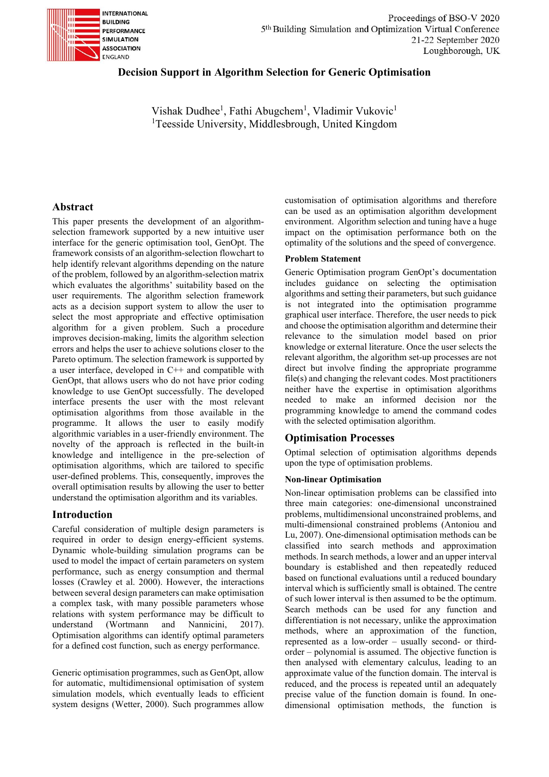

# **Decision Support in Algorithm Selection for Generic Optimisation**

Vishak Dudhee<sup>1</sup>, Fathi Abugchem<sup>1</sup>, Vladimir Vukovic<sup>1</sup> <sup>1</sup>Teesside University, Middlesbrough, United Kingdom

# **Abstract**

This paper presents the development of an algorithmselection framework supported by a new intuitive user interface for the generic optimisation tool, GenOpt. The framework consists of an algorithm-selection flowchart to help identify relevant algorithms depending on the nature of the problem, followed by an algorithm-selection matrix which evaluates the algorithms' suitability based on the user requirements. The algorithm selection framework acts as a decision support system to allow the user to select the most appropriate and effective optimisation algorithm for a given problem. Such a procedure improves decision-making, limits the algorithm selection errors and helps the user to achieve solutions closer to the Pareto optimum. The selection framework is supported by a user interface, developed in C++ and compatible with GenOpt, that allows users who do not have prior coding knowledge to use GenOpt successfully. The developed interface presents the user with the most relevant optimisation algorithms from those available in the programme. It allows the user to easily modify algorithmic variables in a user-friendly environment. The novelty of the approach is reflected in the built-in knowledge and intelligence in the pre-selection of optimisation algorithms, which are tailored to specific user-defined problems. This, consequently, improves the overall optimisation results by allowing the user to better understand the optimisation algorithm and its variables.

## **Introduction**

Careful consideration of multiple design parameters is required in order to design energy-efficient systems. Dynamic whole-building simulation programs can be used to model the impact of certain parameters on system performance, such as energy consumption and thermal losses (Crawley et al. 2000). However, the interactions between several design parameters can make optimisation a complex task, with many possible parameters whose relations with system performance may be difficult to understand (Wortmann and Nannicini, 2017). Optimisation algorithms can identify optimal parameters for a defined cost function, such as energy performance.

Generic optimisation programmes, such as GenOpt, allow for automatic, multidimensional optimisation of system simulation models, which eventually leads to efficient system designs (Wetter, 2000). Such programmes allow customisation of optimisation algorithms and therefore can be used as an optimisation algorithm development environment. Algorithm selection and tuning have a huge impact on the optimisation performance both on the optimality of the solutions and the speed of convergence.

#### **Problem Statement**

Generic Optimisation program GenOpt's documentation includes guidance on selecting the optimisation algorithms and setting their parameters, but such guidance is not integrated into the optimisation programme graphical user interface. Therefore, the user needs to pick and choose the optimisation algorithm and determine their relevance to the simulation model based on prior knowledge or external literature. Once the user selects the relevant algorithm, the algorithm set-up processes are not direct but involve finding the appropriate programme file(s) and changing the relevant codes. Most practitioners neither have the expertise in optimisation algorithms needed to make an informed decision nor the programming knowledge to amend the command codes with the selected optimisation algorithm.

## **Optimisation Processes**

Optimal selection of optimisation algorithms depends upon the type of optimisation problems.

#### **Non-linear Optimisation**

Non-linear optimisation problems can be classified into three main categories: one-dimensional unconstrained problems, multidimensional unconstrained problems, and multi-dimensional constrained problems (Antoniou and Lu, 2007). One-dimensional optimisation methods can be classified into search methods and approximation methods. In search methods, a lower and an upper interval boundary is established and then repeatedly reduced based on functional evaluations until a reduced boundary interval which is sufficiently small is obtained. The centre of such lower interval is then assumed to be the optimum. Search methods can be used for any function and differentiation is not necessary, unlike the approximation methods, where an approximation of the function, represented as a low-order – usually second- or thirdorder – polynomial is assumed. The objective function is then analysed with elementary calculus, leading to an approximate value of the function domain. The interval is reduced, and the process is repeated until an adequately precise value of the function domain is found. In onedimensional optimisation methods, the function is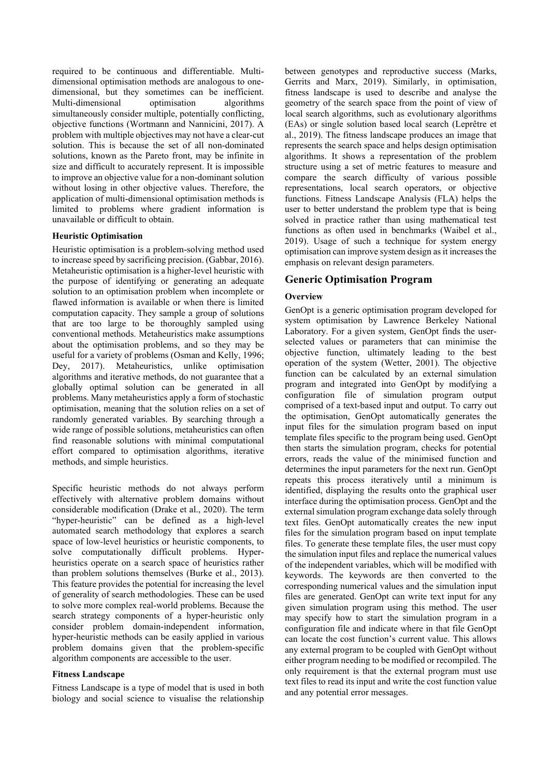required to be continuous and differentiable. Multidimensional optimisation methods are analogous to onedimensional, but they sometimes can be inefficient. Multi-dimensional optimisation algorithms simultaneously consider multiple, potentially conflicting, objective functions (Wortmann and Nannicini, 2017). A problem with multiple objectives may not have a clear-cut solution. This is because the set of all non-dominated solutions, known as the Pareto front, may be infinite in size and difficult to accurately represent. It is impossible to improve an objective value for a non-dominant solution without losing in other objective values. Therefore, the application of multi-dimensional optimisation methods is limited to problems where gradient information is unavailable or difficult to obtain.

#### **Heuristic Optimisation**

Heuristic optimisation is a problem-solving method used to increase speed by sacrificing precision. (Gabbar, 2016). Metaheuristic optimisation is a higher-level heuristic with the purpose of identifying or generating an adequate solution to an optimisation problem when incomplete or flawed information is available or when there is limited computation capacity. They sample a group of solutions that are too large to be thoroughly sampled using conventional methods. Metaheuristics make assumptions about the optimisation problems, and so they may be useful for a variety of problems (Osman and Kelly, 1996; Dey, 2017). Metaheuristics, unlike optimisation algorithms and iterative methods, do not guarantee that a globally optimal solution can be generated in all problems. Many metaheuristics apply a form of stochastic optimisation, meaning that the solution relies on a set of randomly generated variables. By searching through a wide range of possible solutions, metaheuristics can often find reasonable solutions with minimal computational effort compared to optimisation algorithms, iterative methods, and simple heuristics.

Specific heuristic methods do not always perform effectively with alternative problem domains without considerable modification (Drake et al., 2020). The term "hyper-heuristic" can be defined as a high-level automated search methodology that explores a search space of low-level heuristics or heuristic components, to solve computationally difficult problems. Hyperheuristics operate on a search space of heuristics rather than problem solutions themselves (Burke et al., 2013). This feature provides the potential for increasing the level of generality of search methodologies. These can be used to solve more complex real-world problems. Because the search strategy components of a hyper-heuristic only consider problem domain-independent information, hyper-heuristic methods can be easily applied in various problem domains given that the problem-specific algorithm components are accessible to the user.

## **Fitness Landscape**

Fitness Landscape is a type of model that is used in both biology and social science to visualise the relationship

between genotypes and reproductive success (Marks, Gerrits and Marx, 2019). Similarly, in optimisation, fitness landscape is used to describe and analyse the geometry of the search space from the point of view of local search algorithms, such as evolutionary algorithms (EAs) or single solution based local search (Leprêtre et al., 2019). The fitness landscape produces an image that represents the search space and helps design optimisation algorithms. It shows a representation of the problem structure using a set of metric features to measure and compare the search difficulty of various possible representations, local search operators, or objective functions. Fitness Landscape Analysis (FLA) helps the user to better understand the problem type that is being solved in practice rather than using mathematical test functions as often used in benchmarks (Waibel et al., 2019). Usage of such a technique for system energy optimisation can improve system design as it increases the emphasis on relevant design parameters.

## **Generic Optimisation Program**

### **Overview**

GenOpt is a generic optimisation program developed for system optimisation by Lawrence Berkeley National Laboratory. For a given system, GenOpt finds the userselected values or parameters that can minimise the objective function, ultimately leading to the best operation of the system (Wetter, 2001). The objective function can be calculated by an external simulation program and integrated into GenOpt by modifying a configuration file of simulation program output comprised of a text-based input and output. To carry out the optimisation, GenOpt automatically generates the input files for the simulation program based on input template files specific to the program being used. GenOpt then starts the simulation program, checks for potential errors, reads the value of the minimised function and determines the input parameters for the next run. GenOpt repeats this process iteratively until a minimum is identified, displaying the results onto the graphical user interface during the optimisation process. GenOpt and the external simulation program exchange data solely through text files. GenOpt automatically creates the new input files for the simulation program based on input template files. To generate these template files, the user must copy the simulation input files and replace the numerical values of the independent variables, which will be modified with keywords. The keywords are then converted to the corresponding numerical values and the simulation input files are generated. GenOpt can write text input for any given simulation program using this method. The user may specify how to start the simulation program in a configuration file and indicate where in that file GenOpt can locate the cost function's current value. This allows any external program to be coupled with GenOpt without either program needing to be modified or recompiled. The only requirement is that the external program must use text files to read its input and write the cost function value and any potential error messages.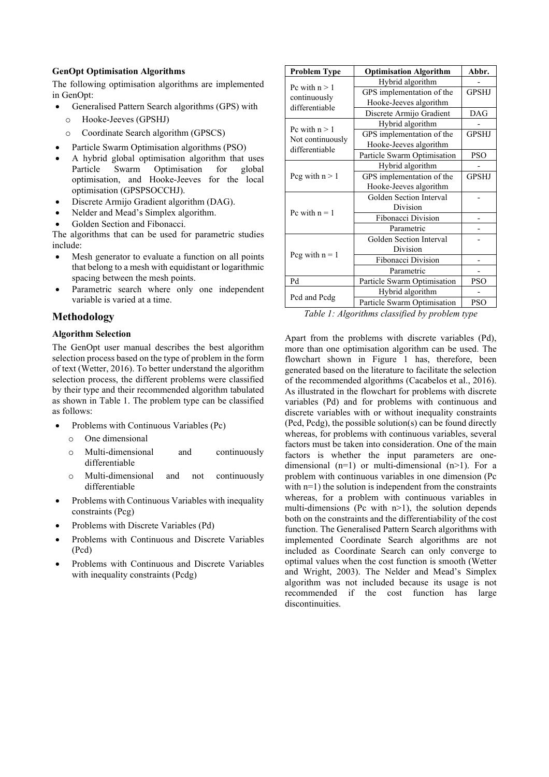#### **GenOpt Optimisation Algorithms**

The following optimisation algorithms are implemented in GenOpt:

- Generalised Pattern Search algorithms (GPS) with
	- o Hooke-Jeeves (GPSHJ)
	- o Coordinate Search algorithm (GPSCS)
- Particle Swarm Optimisation algorithms (PSO)
- A hybrid global optimisation algorithm that uses<br>Particle Swarm Optimisation for global Particle Swarm Optimisation for optimisation, and Hooke-Jeeves for the local optimisation (GPSPSOCCHJ).
- Discrete Armijo Gradient algorithm (DAG).
- Nelder and Mead's Simplex algorithm.
- Golden Section and Fibonacci.

The algorithms that can be used for parametric studies include:

- Mesh generator to evaluate a function on all points that belong to a mesh with equidistant or logarithmic spacing between the mesh points.
- Parametric search where only one independent variable is varied at a time.

# **Methodology**

#### **Algorithm Selection**

The GenOpt user manual describes the best algorithm selection process based on the type of problem in the form of text (Wetter, 2016). To better understand the algorithm selection process, the different problems were classified by their type and their recommended algorithm tabulated as shown in Table 1. The problem type can be classified as follows:

- Problems with Continuous Variables (Pc)
	- o One dimensional
	- o Multi-dimensional and continuously differentiable
	- o Multi-dimensional and not continuously differentiable
- Problems with Continuous Variables with inequality constraints (Pcg)
- Problems with Discrete Variables (Pd)
- Problems with Continuous and Discrete Variables (Pcd)
- Problems with Continuous and Discrete Variables with inequality constraints (Pcdg)

| <b>Problem Type</b>                | <b>Optimisation Algorithm</b> | Abbr.        |
|------------------------------------|-------------------------------|--------------|
|                                    | Hybrid algorithm              |              |
| Pc with $n > 1$                    | GPS implementation of the     | <b>GPSHJ</b> |
| continuously<br>differentiable     | Hooke-Jeeves algorithm        |              |
|                                    | Discrete Armijo Gradient      | DAG          |
| Pc with $n > 1$                    | Hybrid algorithm              |              |
| Not continuously<br>differentiable | GPS implementation of the     | <b>GPSHJ</b> |
|                                    | Hooke-Jeeves algorithm        |              |
|                                    | Particle Swarm Optimisation   | <b>PSO</b>   |
| Pcg with $n > 1$                   | Hybrid algorithm              |              |
|                                    | GPS implementation of the     | <b>GPSHJ</b> |
|                                    | Hooke-Jeeves algorithm        |              |
|                                    | Golden Section Interval       |              |
| Pc with $n = 1$                    | Division                      |              |
|                                    | Fibonacci Division            |              |
|                                    | Parametric                    |              |
|                                    | Golden Section Interval       |              |
| Pcg with $n = 1$                   | Division                      |              |
|                                    | Fibonacci Division            |              |
|                                    | Parametric                    |              |
| Pd                                 | Particle Swarm Optimisation   |              |
|                                    | Hybrid algorithm              |              |
| Pcd and Pcdg                       | Particle Swarm Optimisation   | <b>PSO</b>   |

*Table 1: Algorithms classified by problem type*

Apart from the problems with discrete variables (Pd), more than one optimisation algorithm can be used. The flowchart shown in Figure 1 has, therefore, been generated based on the literature to facilitate the selection of the recommended algorithms (Cacabelos et al., 2016). As illustrated in the flowchart for problems with discrete variables (Pd) and for problems with continuous and discrete variables with or without inequality constraints (Pcd, Pcdg), the possible solution(s) can be found directly whereas, for problems with continuous variables, several factors must be taken into consideration. One of the main factors is whether the input parameters are onedimensional  $(n=1)$  or multi-dimensional  $(n>1)$ . For a problem with continuous variables in one dimension (Pc with  $n=1$ ) the solution is independent from the constraints whereas, for a problem with continuous variables in multi-dimensions (Pc with  $n>1$ ), the solution depends both on the constraints and the differentiability of the cost function. The Generalised Pattern Search algorithms with implemented Coordinate Search algorithms are not included as Coordinate Search can only converge to optimal values when the cost function is smooth (Wetter and Wright, 2003). The Nelder and Mead's Simplex algorithm was not included because its usage is not recommended if the cost function has large discontinuities.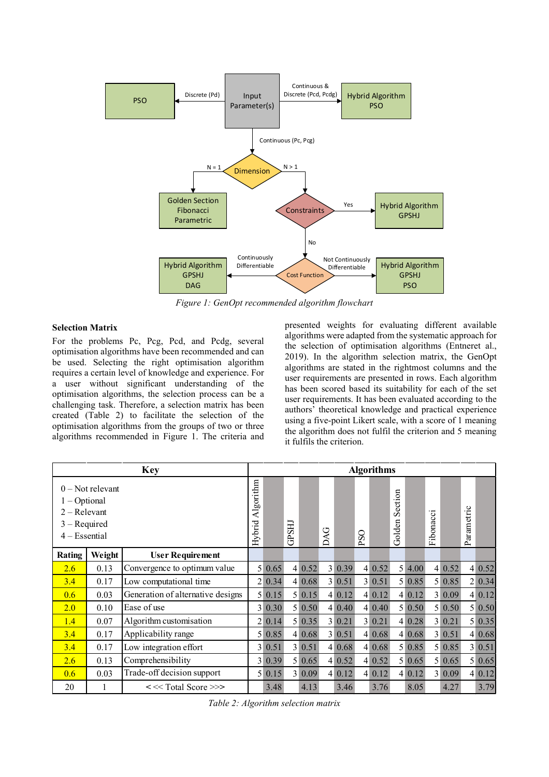

*Figure 1: GenOpt recommended algorithm flowchart*

#### **Selection Matrix**

For the problems Pc, Pcg, Pcd, and Pcdg, several optimisation algorithms have been recommended and can be used. Selecting the right optimisation algorithm requires a certain level of knowledge and experience. For a user without significant understanding of the optimisation algorithms, the selection process can be a challenging task. Therefore, a selection matrix has been created (Table 2) to facilitate the selection of the optimisation algorithms from the groups of two or three algorithms recommended in Figure 1. The criteria and presented weights for evaluating different available algorithms were adapted from the systematic approach for the selection of optimisation algorithms (Entneret al., 2019). In the algorithm selection matrix, the GenOpt algorithms are stated in the rightmost columns and the user requirements are presented in rows. Each algorithm has been scored based its suitability for each of the set user requirements. It has been evaluated according to the authors' theoretical knowledge and practical experience using a five-point Likert scale, with a score of 1 meaning the algorithm does not fulfil the criterion and 5 meaning it fulfils the criterion.

| <b>Key</b>                                                             |                    | <b>Algorithms</b>                   |                     |            |              |        |     |        |         |        |                   |        |           |           |                  |        |
|------------------------------------------------------------------------|--------------------|-------------------------------------|---------------------|------------|--------------|--------|-----|--------|---------|--------|-------------------|--------|-----------|-----------|------------------|--------|
| $1 - Optional$<br>$2 - Relevant$<br>$3 - Required$<br>$4 - E$ ssential | $0$ – Not relevant |                                     | Algorithm<br>Hybrid |            | <b>GPSHJ</b> |        | DAG |        | ○<br>ğq |        | Section<br>Golden |        | Fibonacci |           | Parametric       |        |
| Rating                                                                 | Weight             | <b>User Requirement</b>             |                     |            |              |        |     |        |         |        |                   |        |           |           |                  |        |
| 2.6                                                                    | 0.13               | Convergence to optimum value        |                     | 5 0.65     |              | 4 0.52 |     | 3 0.39 |         | 4 0.52 |                   | 5 4.00 |           | 4 0.52    | $\left 4\right $ | 0.52   |
| 3.4                                                                    | 0.17               | Low computational time              |                     | 2 0.34     |              | 4 0.68 |     | 3 0.51 |         | 3 0.51 |                   | 5 0.85 |           | 5 0.85    |                  | 2 0.34 |
| 0.6                                                                    | 0.03               | Generation of alternative designs   |                     | $5 \ 0.15$ |              | 5 0.15 |     | 4 0.12 |         | 4 0.12 |                   | 4 0.12 |           | 3 0.09    |                  | 4 0.12 |
| 2.0                                                                    | 0.10               | Ease of use                         |                     | 3 0.30     |              | 5 0.50 |     | 4 0.40 |         | 4 0.40 |                   | 5 0.50 |           | $5\,0.50$ |                  | 5 0.50 |
| 1.4                                                                    | 0.07               | Algorithm customisation             |                     | 2 0.14     |              | 5 0.35 |     | 3 0.21 |         | 3 0.21 |                   | 4 0.28 |           | 3 0.21    |                  | 5 0.35 |
| 3.4                                                                    | 0.17               | Applicability range                 |                     | 5 0.85     |              | 4 0.68 |     | 3 0.51 |         | 4 0.68 |                   | 4 0.68 |           | 3 0.51    |                  | 4 0.68 |
| 3.4                                                                    | 0.17               | Low integration effort              |                     | 3 0.51     |              | 3 0.51 |     | 4 0.68 |         | 4 0.68 |                   | 5 0.85 |           | 5 0.85    |                  | 3 0.51 |
| 2.6                                                                    | 0.13               | Comprehensibility                   |                     | 3 0.39     |              | 5 0.65 |     | 4 0.52 |         | 4 0.52 |                   | 5 0.65 |           | 5 0.65    |                  | 5 0.65 |
| 0.6                                                                    | 0.03               | Trade-off decision support          |                     | 5 0.15     |              | 3 0.09 |     | 4 0.12 |         | 4 0.12 |                   | 4 0.12 |           | 3 0.09    |                  | 4 0.12 |
| 20                                                                     |                    | << <total score="">&gt;&gt;</total> |                     | 3.48       |              | 4.13   |     | 3.46   |         | 3.76   |                   | 8.05   |           | 4.27      |                  | 3.79   |
| Table 2: Algorithm selection matrix                                    |                    |                                     |                     |            |              |        |     |        |         |        |                   |        |           |           |                  |        |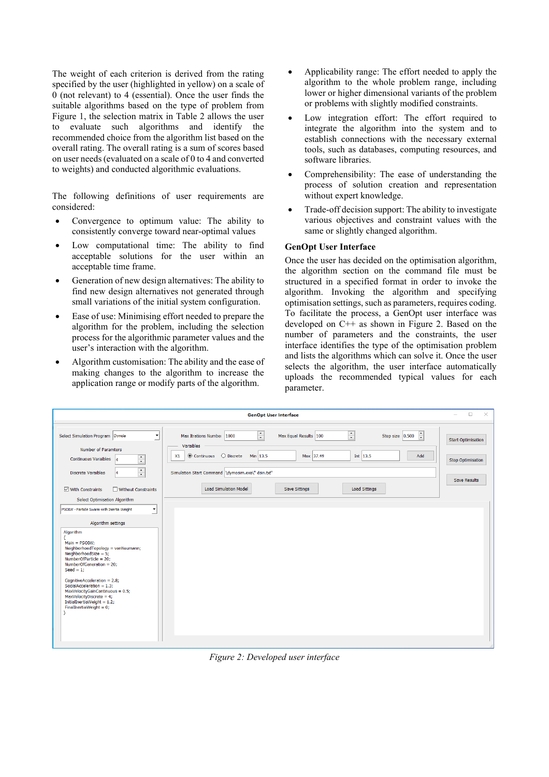The weight of each criterion is derived from the rating specified by the user (highlighted in yellow) on a scale of 0 (not relevant) to 4 (essential). Once the user finds the suitable algorithms based on the type of problem from Figure 1, the selection matrix in Table 2 allows the user to evaluate such algorithms and identify the recommended choice from the algorithm list based on the overall rating. The overall rating is a sum of scores based on user needs (evaluated on a scale of 0 to 4 and converted to weights) and conducted algorithmic evaluations.

The following definitions of user requirements are considered:

- Convergence to optimum value: The ability to consistently converge toward near-optimal values
- Low computational time: The ability to find acceptable solutions for the user within an acceptable time frame.
- Generation of new design alternatives: The ability to find new design alternatives not generated through small variations of the initial system configuration.
- Ease of use: Minimising effort needed to prepare the algorithm for the problem, including the selection process for the algorithmic parameter values and the user's interaction with the algorithm.
- Algorithm customisation: The ability and the ease of making changes to the algorithm to increase the application range or modify parts of the algorithm.
- Applicability range: The effort needed to apply the algorithm to the whole problem range, including lower or higher dimensional variants of the problem or problems with slightly modified constraints.
- Low integration effort: The effort required to integrate the algorithm into the system and to establish connections with the necessary external tools, such as databases, computing resources, and software libraries.
- Comprehensibility: The ease of understanding the process of solution creation and representation without expert knowledge.
- Trade-off decision support: The ability to investigate various objectives and constraint values with the same or slightly changed algorithm.

## **GenOpt User Interface**

Once the user has decided on the optimisation algorithm, the algorithm section on the command file must be structured in a specified format in order to invoke the algorithm. Invoking the algorithm and specifying optimisation settings, such as parameters, requires coding. To facilitate the process, a GenOpt user interface was developed on C++ as shown in Figure 2. Based on the number of parameters and the constraints, the user interface identifies the type of the optimisation problem and lists the algorithms which can solve it. Once the user selects the algorithm, the user interface automatically uploads the recommended typical values for each parameter.

|                                                                                                                                                                                                                                                                                                                                                                                                                                                                  | <b>GenOpt User Interface</b>                                                                                                                                                                                                                                                                                                                                                                          | П<br>$\times$                                                         |
|------------------------------------------------------------------------------------------------------------------------------------------------------------------------------------------------------------------------------------------------------------------------------------------------------------------------------------------------------------------------------------------------------------------------------------------------------------------|-------------------------------------------------------------------------------------------------------------------------------------------------------------------------------------------------------------------------------------------------------------------------------------------------------------------------------------------------------------------------------------------------------|-----------------------------------------------------------------------|
| Select Simulation Program Dymola<br><b>Number of Paramters</b><br>$\frac{1}{x}$<br>Continuous Varaibles 4<br>$\frac{1}{x}$<br><b>Discrete Varaibles</b><br>$\sqrt{ }$ With Constraints<br>Without Constraints<br>Select Optimisation Algorithm                                                                                                                                                                                                                   | $\frac{1}{\sqrt{2}}$<br>÷<br>Step size $\begin{array}{ c c c c c }\n\hline\n0.500 & \downarrow\n\end{array}$<br>Max Equal Results 100<br>Max Itrations Number 1000<br>Varaibles<br>$\odot$ Continuous $\odot$ Discrete<br>Add<br>Min 13.5<br>Max 37.49<br>Int 13.5<br>X1<br>Simulation Start Command \dymosim.exe\" dsin.bd"<br><b>Load Simulation Model</b><br><b>Load Sittings</b><br>Save Sittings | <b>Start Optimisation</b><br><b>Stop Optimisation</b><br>Save Results |
| PSOIW - Particle Swarm with Inertia Weight<br>$\mathbf{v}$<br>Algorithm settings<br>Algorithm<br>$Main = PSOW;$<br>NeighborhoodTopology = vonNeumann;<br>NeighborhoodSize = $5$ ;<br>NumberOfParticle = 20;<br>NumberOfGeneration = 20;<br>$\text{Seed} = 1$ :<br>CognitiveAcceleration = 2.8;<br>SocialAcceleration = $1.3$ ;<br>MaxVelocityGainContinuous = 0.5;<br>MaxVelocityDiscrete = 4;<br>InitialInertiaWeight = 1.2;<br>FinalInertiaWeight = $0$ ;<br>¥ |                                                                                                                                                                                                                                                                                                                                                                                                       |                                                                       |

*Figure 2: Developed user interface*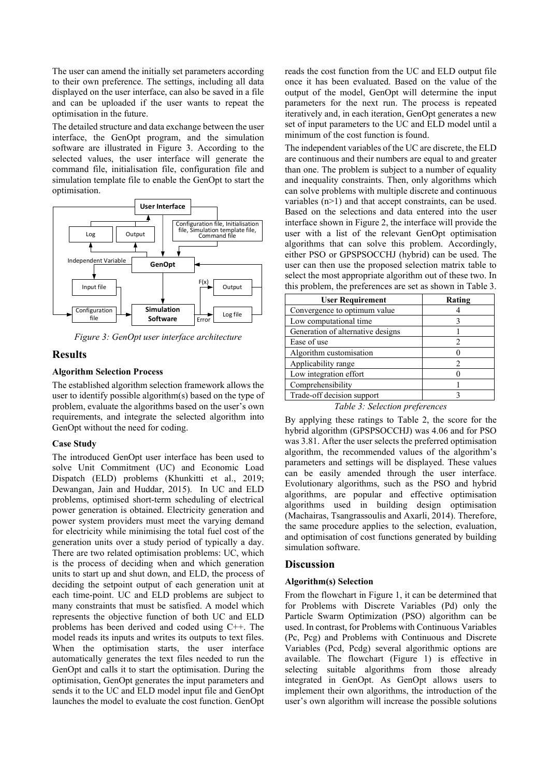The user can amend the initially set parameters according to their own preference. The settings, including all data displayed on the user interface, can also be saved in a file and can be uploaded if the user wants to repeat the optimisation in the future.

The detailed structure and data exchange between the user interface, the GenOpt program, and the simulation software are illustrated in Figure 3. According to the selected values, the user interface will generate the command file, initialisation file, configuration file and simulation template file to enable the GenOpt to start the optimisation.



*Figure 3: GenOpt user interface architecture*

## **Results**

#### **Algorithm Selection Process**

The established algorithm selection framework allows the user to identify possible algorithm(s) based on the type of problem, evaluate the algorithms based on the user's own requirements, and integrate the selected algorithm into GenOpt without the need for coding.

### **Case Study**

The introduced GenOpt user interface has been used to solve Unit Commitment (UC) and Economic Load Dispatch (ELD) problems (Khunkitti et al., 2019; Dewangan, Jain and Huddar, 2015). In UC and ELD problems, optimised short-term scheduling of electrical power generation is obtained. Electricity generation and power system providers must meet the varying demand for electricity while minimising the total fuel cost of the generation units over a study period of typically a day. There are two related optimisation problems: UC, which is the process of deciding when and which generation units to start up and shut down, and ELD, the process of deciding the setpoint output of each generation unit at each time-point. UC and ELD problems are subject to many constraints that must be satisfied. A model which represents the objective function of both UC and ELD problems has been derived and coded using C++. The model reads its inputs and writes its outputs to text files. When the optimisation starts, the user interface automatically generates the text files needed to run the GenOpt and calls it to start the optimisation. During the optimisation, GenOpt generates the input parameters and sends it to the UC and ELD model input file and GenOpt launches the model to evaluate the cost function. GenOpt

reads the cost function from the UC and ELD output file once it has been evaluated. Based on the value of the output of the model, GenOpt will determine the input parameters for the next run. The process is repeated iteratively and, in each iteration, GenOpt generates a new set of input parameters to the UC and ELD model until a minimum of the cost function is found.

The independent variables of the UC are discrete, the ELD are continuous and their numbers are equal to and greater than one. The problem is subject to a number of equality and inequality constraints. Then, only algorithms which can solve problems with multiple discrete and continuous variables (n>1) and that accept constraints, can be used. Based on the selections and data entered into the user interface shown in Figure 2, the interface will provide the user with a list of the relevant GenOpt optimisation algorithms that can solve this problem. Accordingly, either PSO or GPSPSOCCHJ (hybrid) can be used. The user can then use the proposed selection matrix table to select the most appropriate algorithm out of these two. In this problem, the preferences are set as shown in Table 3.

| <b>User Requirement</b>           | Rating |
|-----------------------------------|--------|
| Convergence to optimum value      |        |
| Low computational time            |        |
| Generation of alternative designs |        |
| Ease of use                       |        |
| Algorithm customisation           |        |
| Applicability range               |        |
| Low integration effort            |        |
| Comprehensibility                 |        |
| Trade-off decision support        |        |
| T11A N1.                          |        |

*Table 3: Selection preferences*

By applying these ratings to Table 2, the score for the hybrid algorithm (GPSPSOCCHJ) was 4.06 and for PSO was 3.81. After the user selects the preferred optimisation algorithm, the recommended values of the algorithm's parameters and settings will be displayed. These values can be easily amended through the user interface. Evolutionary algorithms, such as the PSO and hybrid algorithms, are popular and effective optimisation algorithms used in building design optimisation (Machairas, Tsangrassoulis and Axarli, 2014). Therefore, the same procedure applies to the selection, evaluation, and optimisation of cost functions generated by building simulation software.

## **Discussion**

## **Algorithm(s) Selection**

From the flowchart in Figure 1, it can be determined that for Problems with Discrete Variables (Pd) only the Particle Swarm Optimization (PSO) algorithm can be used. In contrast, for Problems with Continuous Variables (Pc, Pcg) and Problems with Continuous and Discrete Variables (Pcd, Pcdg) several algorithmic options are available. The flowchart (Figure 1) is effective in selecting suitable algorithms from those already integrated in GenOpt. As GenOpt allows users to implement their own algorithms, the introduction of the user's own algorithm will increase the possible solutions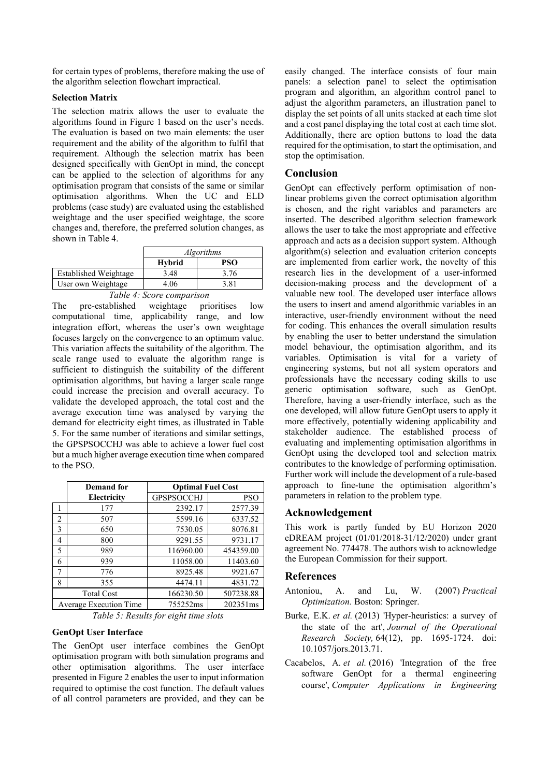for certain types of problems, therefore making the use of the algorithm selection flowchart impractical.

## **Selection Matrix**

The selection matrix allows the user to evaluate the algorithms found in Figure 1 based on the user's needs. The evaluation is based on two main elements: the user requirement and the ability of the algorithm to fulfil that requirement. Although the selection matrix has been designed specifically with GenOpt in mind, the concept can be applied to the selection of algorithms for any optimisation program that consists of the same or similar optimisation algorithms. When the UC and ELD problems (case study) are evaluated using the established weightage and the user specified weightage, the score changes and, therefore, the preferred solution changes, as shown in Table 4.

|                                            | <i>Algorithms</i> |      |  |  |
|--------------------------------------------|-------------------|------|--|--|
|                                            | <b>Hybrid</b>     | PSO- |  |  |
| Established Weightage                      | 3.48              | 3.76 |  |  |
| User own Weightage                         | 4 06              | 3.81 |  |  |
| $-1$<br>$\sim$<br>$\overline{\phantom{a}}$ |                   |      |  |  |

*Table 4: Score comparison* The pre-established weightage prioritises low computational time, applicability range, and low integration effort, whereas the user's own weightage focuses largely on the convergence to an optimum value. This variation affects the suitability of the algorithm. The scale range used to evaluate the algorithm range is sufficient to distinguish the suitability of the different optimisation algorithms, but having a larger scale range could increase the precision and overall accuracy. To validate the developed approach, the total cost and the average execution time was analysed by varying the demand for electricity eight times, as illustrated in Table 5. For the same number of iterations and similar settings, the GPSPSOCCHJ was able to achieve a lower fuel cost but a much higher average execution time when compared to the PSO.

|                               | Demand for  | <b>Optimal Fuel Cost</b> |           |  |  |  |  |
|-------------------------------|-------------|--------------------------|-----------|--|--|--|--|
|                               | Electricity | <b>GPSPSOCCHJ</b>        | PSO       |  |  |  |  |
|                               | 177         | 2392.17                  | 2577.39   |  |  |  |  |
| 2                             | 507         | 5599.16                  | 6337.52   |  |  |  |  |
| 3                             | 650         | 7530.05                  | 8076.81   |  |  |  |  |
| 4                             | 800         | 9291.55                  | 9731.17   |  |  |  |  |
| 5                             | 989         | 116960.00                | 454359.00 |  |  |  |  |
| 6                             | 939         | 11058.00                 | 11403.60  |  |  |  |  |
| 7                             | 776         | 8925.48                  | 9921.67   |  |  |  |  |
| 8                             | 355         | 4474.11                  | 4831.72   |  |  |  |  |
| <b>Total Cost</b>             |             | 166230.50                | 507238.88 |  |  |  |  |
| <b>Average Execution Time</b> |             | 755252ms                 | 202351ms  |  |  |  |  |

*Table 5: Results for eight time slots*

### **GenOpt User Interface**

The GenOpt user interface combines the GenOpt optimisation program with both simulation programs and other optimisation algorithms. The user interface presented in Figure 2 enables the user to input information required to optimise the cost function. The default values of all control parameters are provided, and they can be

easily changed. The interface consists of four main panels: a selection panel to select the optimisation program and algorithm, an algorithm control panel to adjust the algorithm parameters, an illustration panel to display the set points of all units stacked at each time slot and a cost panel displaying the total cost at each time slot. Additionally, there are option buttons to load the data required for the optimisation, to start the optimisation, and stop the optimisation.

## **Conclusion**

GenOpt can effectively perform optimisation of nonlinear problems given the correct optimisation algorithm is chosen, and the right variables and parameters are inserted. The described algorithm selection framework allows the user to take the most appropriate and effective approach and acts as a decision support system. Although algorithm(s) selection and evaluation criterion concepts are implemented from earlier work, the novelty of this research lies in the development of a user-informed decision-making process and the development of a valuable new tool. The developed user interface allows the users to insert and amend algorithmic variables in an interactive, user-friendly environment without the need for coding. This enhances the overall simulation results by enabling the user to better understand the simulation model behaviour, the optimisation algorithm, and its variables. Optimisation is vital for a variety of engineering systems, but not all system operators and professionals have the necessary coding skills to use generic optimisation software, such as GenOpt. Therefore, having a user-friendly interface, such as the one developed, will allow future GenOpt users to apply it more effectively, potentially widening applicability and stakeholder audience. The established process of evaluating and implementing optimisation algorithms in GenOpt using the developed tool and selection matrix contributes to the knowledge of performing optimisation. Further work will include the development of a rule-based approach to fine-tune the optimisation algorithm's parameters in relation to the problem type.

### **Acknowledgement**

This work is partly funded by EU Horizon 2020 eDREAM project (01/01/2018-31/12/2020) under grant agreement No. 774478. The authors wish to acknowledge the European Commission for their support.

### **References**

- Antoniou, A. and Lu, W. (2007) *Practical Optimization.* Boston: Springer.
- Burke, E.K. *et al.* (2013) 'Hyper-heuristics: a survey of the state of the art', *Journal of the Operational Research Society,* 64(12), pp. 1695-1724. doi: 10.1057/jors.2013.71.
- Cacabelos, A. *et al.* (2016) 'Integration of the free software GenOpt for a thermal engineering course', *Computer Applications in Engineering*